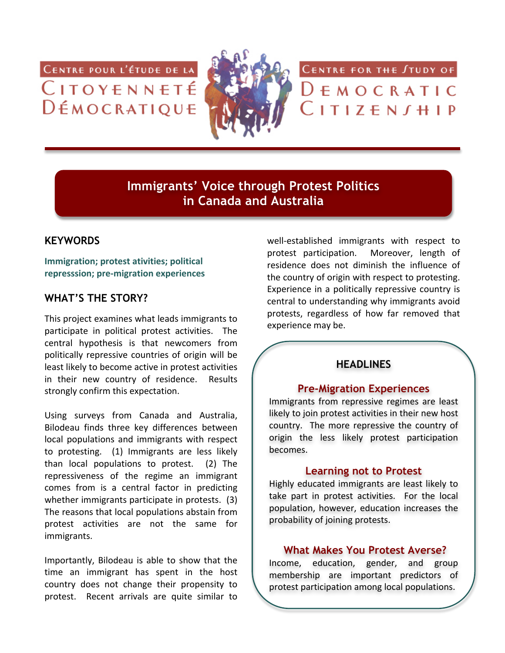CENTRE POUR L'ÉTUDE DE LA CITOYENNETÉ DÉMOCRATIQUE



CENTRE FOR THE STUDY OF

 $D$   $F$   $M$   $O$   $C$   $R$   $A$   $T$   $I$   $C$  $C$ ITIZEN $J$ HIP

**Immigrants' Voice through Protest Politics in Canada and Australia**

## **KEYWORDS**

**Immigration; protest ativities; political represssion;+pre2migration+experiences**

# **WHAT'S THE STORY?**

This project examines what leads immigrants to participate in political protest activities. The central hypothesis is that newcomers from politically repressive countries of origin will be least likely to become active in protest activities in their new country of residence. Results strongly confirm this expectation.

Using surveys from Canada and Australia, Bilodeau finds three key differences between local populations and immigrants with respect to protesting. (1) Immigrants are less likely than local populations to protest.  $(2)$  The repressiveness of the regime an immigrant comes from is a central factor in predicting whether immigrants participate in protests.  $(3)$ The reasons that local populations abstain from protest activities are not the same for immigrants.

Importantly, Bilodeau is able to show that the time an immigrant has spent in the host country does not change their propensity to protest. Recent arrivals are quite similar to well-established immigrants with respect to protest participation. Moreover, length of residence does not diminish the influence of the country of origin with respect to protesting. Experience in a politically repressive country is central to understanding why immigrants avoid protests, regardless of how far removed that experience may be.

# **HEADLINES**

#### **Pre-Migration Experiences**

Immigrants from repressive regimes are least likely to join protest activities in their new host country. The more repressive the country of origin the less likely protest participation becomes.

#### **Learning not to Protest**

Highly educated immigrants are least likely to take part in protest activities. For the local population, however, education increases the probability of joining protests.

### **What Makes You Protest Averse?**

Income, education, gender, and group membership are important predictors of protest participation among local populations.